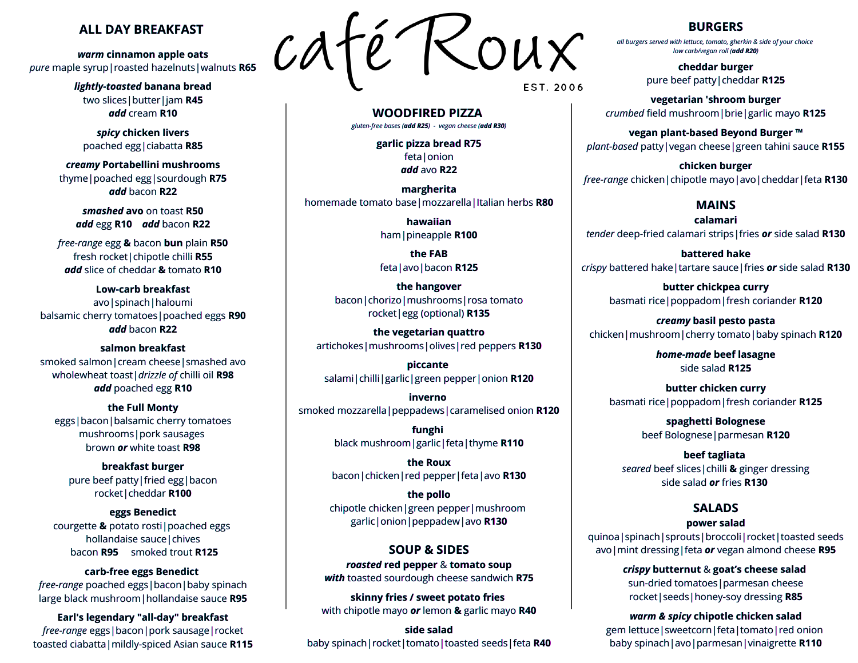#### **ALL DAY BREAKFAST**

*warm* **cinnamon apple oats** *pure* maple syrup|roasted hazelnuts|walnuts **R65**

> *lightly-toasted* **banana bread** two slices|butter|jam **R45** *add* cream **R10**

*spicy* **chicken livers** poached egg|ciabatta **R85**

*creamy* **Portabellini mushrooms** thyme|poached egg|sourdough **R75** *add* bacon **R22**

*smashed* **avo** on toast **R50** *add* egg **R10** *add* bacon **R22**

*free-range* egg **&** bacon **bun** plain **R50** fresh rocket|chipotle chilli **R55** *add* slice of cheddar **&** tomato **R10**

**Low-carb breakfast** avo|spinach|haloumi balsamic cherry tomatoes|poached eggs **R90** *add* bacon **R22**

**salmon breakfast** smoked salmon|cream cheese|smashed avo wholewheat toast|*drizzle of* chilli oil **R98** *add* poached egg **R10**

**the Full Monty** eggs|bacon|balsamic cherry tomatoes mushrooms|pork sausages brown *or* white toast **R98**

**breakfast burger** pure beef patty|fried egg|bacon rocket|cheddar **R100**

**eggs Benedict** courgette **&** potato rosti|poached eggs hollandaise sauce | chives bacon **R95** smoked trout **R125**

**carb-free eggs Benedict** *free-range* poached eggs|bacon|baby spinach large black mushroom|hollandaise sauce **R95**

**Earl's legendary "all-day" breakfast** *free-range* eggs|bacon|pork sausage|rocket toasted ciabatta|mildly-spiced Asian sauce **R115**



EST. 2006

**WOODFIRED PIZZA** *gluten-free bases (add R25) - vegan cheese (add R30)*

> **garlic pizza bread R75** feta|onion *add* avo **R22**

**margherita** homemade tomato base|mozzarella|Italian herbs **R80**

> **hawaiian** ham|pineapple **R100**

**the FAB** feta|avo|bacon **R125**

**the hangover** bacon|chorizo|mushrooms|rosa tomato rocket|egg (optional) **R135**

**the vegetarian quattro** artichokes|mushrooms|olives|red peppers **R130**

**piccante** salami|chilli|garlic|green pepper|onion **R120**

**inverno** smoked mozzarella|peppadews|caramelised onion **R120**

> **funghi** black mushroom|garlic|feta|thyme **R110**

**the Roux** bacon|chicken|red pepper|feta|avo **R130**

**the pollo** chipotle chicken|green pepper|mushroom garlic|onion|peppadew|avo **R130**

#### **SOUP & SIDES**

*roasted* **red pepper** & **tomato soup** *with* toasted sourdough cheese sandwich **R75**

**skinny fries / sweet potato fries** with chipotle mayo *or* lemon **&** garlic mayo **R40**

**side salad** baby spinach|rocket|tomato|toasted seeds|feta **R40**

#### **BURGERS**

*all burgers served with lettuce, tomato, gherkin & side of your choice low carb/vegan roll (add R20)*

> **cheddar burger** pure beef patty|cheddar **R125**

**vegetarian 'shroom burger** *crumbed* field mushroom|brie|garlic mayo **R125**

**vegan plant-based Beyond Burger ™** *plant-based* patty|vegan cheese|green tahini sauce **R155**

**chicken burger** *free-range* chicken|chipotle mayo|avo|cheddar|feta **R130**

## **MAINS**

**calamari** *tender* deep-fried calamari strips|fries *or* side salad **R130**

**battered hake** *crispy* battered hake|tartare sauce|fries *or* side salad **R130**

> **butter chickpea curry** basmati rice|poppadom|fresh coriander **R120**

*creamy* **basil pesto pasta** chicken|mushroom|cherry tomato|baby spinach **R120**

> *home-made* **beef lasagne** side salad **R125**

**butter chicken curry** basmati rice|poppadom|fresh coriander **R125**

> **spaghetti Bolognese** beef Bolognese|parmesan **R120**

**beef tagliata** *seared* beef slices|chilli **&** ginger dressing side salad *or* fries **R130**

# **SALADS**

#### **power salad**

quinoa|spinach|sprouts|broccoli|rocket|toasted seeds avo|mint dressing|feta *or* vegan almond cheese **R95**

> *crispy* **butternut** & **goat's cheese salad** sun-dried tomatoes|parmesan cheese rocket|seeds|honey-soy dressing **R85**

*warm & spicy* **chipotle chicken salad** gem lettuce|sweetcorn|feta|tomato|red onion baby spinach|avo|parmesan|vinaigrette **R110**